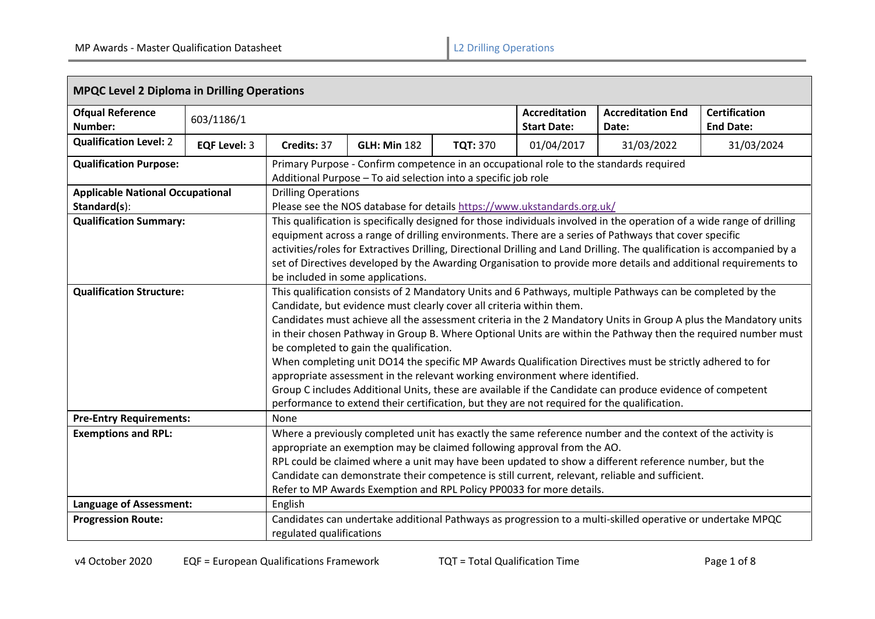| <b>Ofqual Reference</b><br>Number:                      | 603/1186/1          |                                                                                                                                                                                                                                                                                                                                                                                                                                                                                                                                                                                                                                                                                                                                                                                                                                                                             |                                                                         |                 | <b>Accreditation</b><br><b>Start Date:</b>                                                                                                                                                                                                                                                                                                                                                        | <b>Accreditation End</b><br>Date:                                                                                                                                                                                                                                                                                                                                                                                                                                               | <b>Certification</b><br><b>End Date:</b> |  |  |
|---------------------------------------------------------|---------------------|-----------------------------------------------------------------------------------------------------------------------------------------------------------------------------------------------------------------------------------------------------------------------------------------------------------------------------------------------------------------------------------------------------------------------------------------------------------------------------------------------------------------------------------------------------------------------------------------------------------------------------------------------------------------------------------------------------------------------------------------------------------------------------------------------------------------------------------------------------------------------------|-------------------------------------------------------------------------|-----------------|---------------------------------------------------------------------------------------------------------------------------------------------------------------------------------------------------------------------------------------------------------------------------------------------------------------------------------------------------------------------------------------------------|---------------------------------------------------------------------------------------------------------------------------------------------------------------------------------------------------------------------------------------------------------------------------------------------------------------------------------------------------------------------------------------------------------------------------------------------------------------------------------|------------------------------------------|--|--|
| <b>Qualification Level: 2</b>                           | <b>EQF Level: 3</b> | Credits: 37                                                                                                                                                                                                                                                                                                                                                                                                                                                                                                                                                                                                                                                                                                                                                                                                                                                                 | <b>GLH: Min 182</b>                                                     | <b>TQT: 370</b> | 01/04/2017                                                                                                                                                                                                                                                                                                                                                                                        | 31/03/2022                                                                                                                                                                                                                                                                                                                                                                                                                                                                      | 31/03/2024                               |  |  |
| <b>Qualification Purpose:</b>                           |                     |                                                                                                                                                                                                                                                                                                                                                                                                                                                                                                                                                                                                                                                                                                                                                                                                                                                                             | Additional Purpose - To aid selection into a specific job role          |                 |                                                                                                                                                                                                                                                                                                                                                                                                   | Primary Purpose - Confirm competence in an occupational role to the standards required                                                                                                                                                                                                                                                                                                                                                                                          |                                          |  |  |
| <b>Applicable National Occupational</b><br>Standard(s): |                     | <b>Drilling Operations</b>                                                                                                                                                                                                                                                                                                                                                                                                                                                                                                                                                                                                                                                                                                                                                                                                                                                  | Please see the NOS database for details https://www.ukstandards.org.uk/ |                 |                                                                                                                                                                                                                                                                                                                                                                                                   |                                                                                                                                                                                                                                                                                                                                                                                                                                                                                 |                                          |  |  |
| <b>Qualification Summary:</b>                           |                     |                                                                                                                                                                                                                                                                                                                                                                                                                                                                                                                                                                                                                                                                                                                                                                                                                                                                             | be included in some applications.                                       |                 |                                                                                                                                                                                                                                                                                                                                                                                                   | This qualification is specifically designed for those individuals involved in the operation of a wide range of drilling<br>equipment across a range of drilling environments. There are a series of Pathways that cover specific<br>activities/roles for Extractives Drilling, Directional Drilling and Land Drilling. The qualification is accompanied by a<br>set of Directives developed by the Awarding Organisation to provide more details and additional requirements to |                                          |  |  |
| <b>Qualification Structure:</b>                         |                     | This qualification consists of 2 Mandatory Units and 6 Pathways, multiple Pathways can be completed by the<br>Candidate, but evidence must clearly cover all criteria within them.<br>Candidates must achieve all the assessment criteria in the 2 Mandatory Units in Group A plus the Mandatory units<br>in their chosen Pathway in Group B. Where Optional Units are within the Pathway then the required number must<br>be completed to gain the qualification.<br>When completing unit DO14 the specific MP Awards Qualification Directives must be strictly adhered to for<br>appropriate assessment in the relevant working environment where identified.<br>Group C includes Additional Units, these are available if the Candidate can produce evidence of competent<br>performance to extend their certification, but they are not required for the qualification. |                                                                         |                 |                                                                                                                                                                                                                                                                                                                                                                                                   |                                                                                                                                                                                                                                                                                                                                                                                                                                                                                 |                                          |  |  |
| <b>Pre-Entry Requirements:</b>                          |                     | None                                                                                                                                                                                                                                                                                                                                                                                                                                                                                                                                                                                                                                                                                                                                                                                                                                                                        |                                                                         |                 |                                                                                                                                                                                                                                                                                                                                                                                                   |                                                                                                                                                                                                                                                                                                                                                                                                                                                                                 |                                          |  |  |
| <b>Exemptions and RPL:</b>                              |                     |                                                                                                                                                                                                                                                                                                                                                                                                                                                                                                                                                                                                                                                                                                                                                                                                                                                                             | Refer to MP Awards Exemption and RPL Policy PP0033 for more details.    |                 | Where a previously completed unit has exactly the same reference number and the context of the activity is<br>appropriate an exemption may be claimed following approval from the AO.<br>RPL could be claimed where a unit may have been updated to show a different reference number, but the<br>Candidate can demonstrate their competence is still current, relevant, reliable and sufficient. |                                                                                                                                                                                                                                                                                                                                                                                                                                                                                 |                                          |  |  |
| <b>Language of Assessment:</b>                          |                     | English                                                                                                                                                                                                                                                                                                                                                                                                                                                                                                                                                                                                                                                                                                                                                                                                                                                                     |                                                                         |                 |                                                                                                                                                                                                                                                                                                                                                                                                   |                                                                                                                                                                                                                                                                                                                                                                                                                                                                                 |                                          |  |  |
| <b>Progression Route:</b>                               |                     | regulated qualifications                                                                                                                                                                                                                                                                                                                                                                                                                                                                                                                                                                                                                                                                                                                                                                                                                                                    |                                                                         |                 |                                                                                                                                                                                                                                                                                                                                                                                                   | Candidates can undertake additional Pathways as progression to a multi-skilled operative or undertake MPQC                                                                                                                                                                                                                                                                                                                                                                      |                                          |  |  |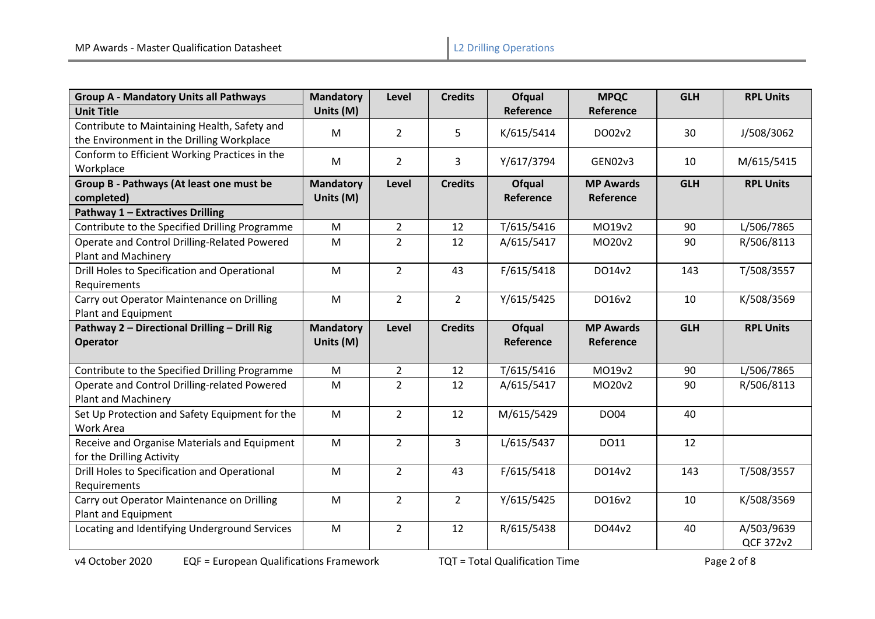| <b>Group A - Mandatory Units all Pathways</b>                                             | <b>Mandatory</b>              | Level          | <b>Credits</b> | <b>Ofqual</b>              | <b>MPQC</b>                   | <b>GLH</b> | <b>RPL Units</b> |
|-------------------------------------------------------------------------------------------|-------------------------------|----------------|----------------|----------------------------|-------------------------------|------------|------------------|
| <b>Unit Title</b>                                                                         | Units (M)                     |                |                | Reference                  | Reference                     |            |                  |
| Contribute to Maintaining Health, Safety and<br>the Environment in the Drilling Workplace | M                             | $\overline{2}$ | 5              | K/615/5414                 | DO02v2                        | 30         | J/508/3062       |
| Conform to Efficient Working Practices in the<br>Workplace                                | M                             | $\overline{2}$ | 3              | Y/617/3794                 | GEN02v3                       | 10         | M/615/5415       |
| Group B - Pathways (At least one must be<br>completed)                                    | <b>Mandatory</b><br>Units (M) | Level          | <b>Credits</b> | <b>Ofqual</b><br>Reference | <b>MP Awards</b><br>Reference | <b>GLH</b> | <b>RPL Units</b> |
| Pathway 1 - Extractives Drilling                                                          |                               |                |                |                            |                               |            |                  |
| Contribute to the Specified Drilling Programme                                            | M                             | $\overline{2}$ | 12             | T/615/5416                 | MO19v2                        | 90         | L/506/7865       |
| Operate and Control Drilling-Related Powered<br><b>Plant and Machinery</b>                | M                             | $\overline{2}$ | 12             | A/615/5417                 | MO20v2                        | 90         | R/506/8113       |
| Drill Holes to Specification and Operational<br>Requirements                              | M                             | $\overline{2}$ | 43             | F/615/5418                 | DO14v2                        | 143        | T/508/3557       |
| Carry out Operator Maintenance on Drilling<br>Plant and Equipment                         | M                             | $\overline{2}$ | $\overline{2}$ | Y/615/5425                 | DO16v2                        | 10         | K/508/3569       |
|                                                                                           |                               |                |                |                            |                               |            |                  |
| Pathway 2 - Directional Drilling - Drill Rig<br><b>Operator</b>                           | <b>Mandatory</b><br>Units (M) | Level          | <b>Credits</b> | <b>Ofqual</b><br>Reference | <b>MP Awards</b><br>Reference | <b>GLH</b> | <b>RPL Units</b> |
| Contribute to the Specified Drilling Programme                                            | M                             | $\overline{2}$ | 12             | T/615/5416                 | MO19v2                        | 90         | L/506/7865       |
| Operate and Control Drilling-related Powered<br><b>Plant and Machinery</b>                | M                             | $\overline{2}$ | 12             | A/615/5417                 | MO20v2                        | 90         | R/506/8113       |
| Set Up Protection and Safety Equipment for the<br>Work Area                               | M                             | $\overline{2}$ | 12             | M/615/5429                 | <b>DO04</b>                   | 40         |                  |
| Receive and Organise Materials and Equipment<br>for the Drilling Activity                 | M                             | $\overline{2}$ | 3              | L/615/5437                 | DO11                          | 12         |                  |
| Drill Holes to Specification and Operational<br>Requirements                              | M                             | $\overline{2}$ | 43             | F/615/5418                 | DO14v2                        | 143        | T/508/3557       |
| Carry out Operator Maintenance on Drilling<br>Plant and Equipment                         | M                             | $\overline{2}$ | $\overline{2}$ | Y/615/5425                 | DO16v2                        | 10         | K/508/3569       |

v4 October 2020 EQF = European Qualifications Framework TQT = Total Qualification Time Page 2 of 8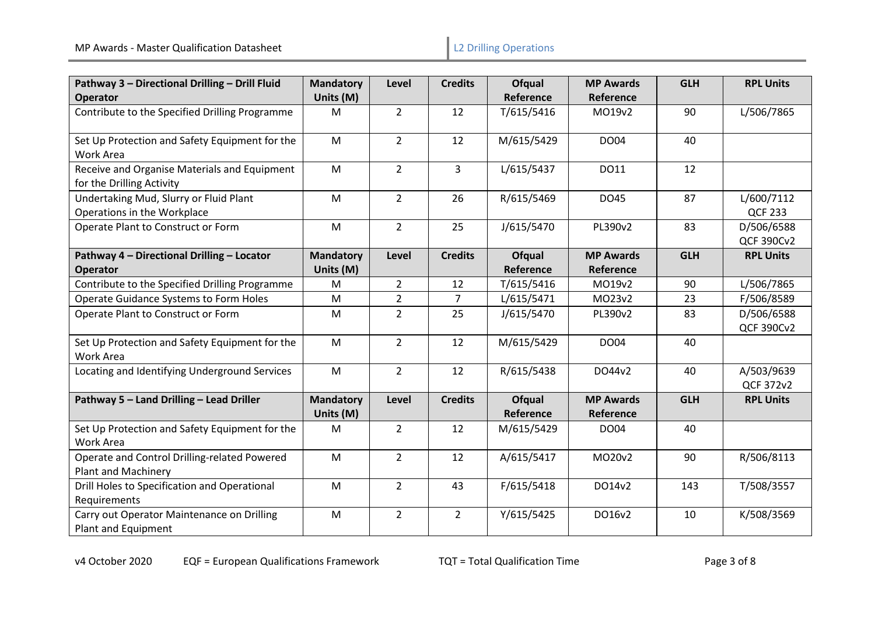| Pathway 3 - Directional Drilling - Drill Fluid                             | <b>Mandatory</b>              | Level          | <b>Credits</b> | Ofqual                            | <b>MP Awards</b>              | <b>GLH</b> | <b>RPL Units</b>                |
|----------------------------------------------------------------------------|-------------------------------|----------------|----------------|-----------------------------------|-------------------------------|------------|---------------------------------|
| <b>Operator</b>                                                            | Units (M)                     |                |                | Reference                         | <b>Reference</b>              |            |                                 |
| Contribute to the Specified Drilling Programme                             | M                             | $\overline{2}$ | 12             | T/615/5416                        | MO19v2                        | 90         | L/506/7865                      |
| Set Up Protection and Safety Equipment for the<br>Work Area                | M                             | $\overline{2}$ | 12             | M/615/5429                        | <b>DO04</b>                   | 40         |                                 |
| Receive and Organise Materials and Equipment<br>for the Drilling Activity  | M                             | $\overline{2}$ | 3              | L/615/5437                        | DO11                          | 12         |                                 |
| Undertaking Mud, Slurry or Fluid Plant<br>Operations in the Workplace      | M                             | $2^{\circ}$    | 26             | R/615/5469                        | DO45                          | 87         | L/600/7112<br><b>QCF 233</b>    |
| Operate Plant to Construct or Form                                         | M                             | $\overline{2}$ | 25             | J/615/5470                        | PL390v2                       | 83         | D/506/6588<br><b>QCF 390Cv2</b> |
| Pathway 4 - Directional Drilling - Locator<br><b>Operator</b>              | <b>Mandatory</b><br>Units (M) | Level          | <b>Credits</b> | <b>Ofqual</b><br>Reference        | <b>MP Awards</b><br>Reference | <b>GLH</b> | <b>RPL Units</b>                |
| Contribute to the Specified Drilling Programme                             | M                             | $\overline{2}$ | 12             | T/615/5416                        | MO19v2                        | 90         | L/506/7865                      |
| Operate Guidance Systems to Form Holes                                     | M                             | $\overline{2}$ | 7              | L/615/5471                        | MO23v2                        | 23         | F/506/8589                      |
| Operate Plant to Construct or Form                                         | M                             | $\overline{2}$ | 25             | J/615/5470                        | PL390v2                       | 83         | D/506/6588<br><b>QCF 390Cv2</b> |
| Set Up Protection and Safety Equipment for the<br>Work Area                | M                             | $\overline{2}$ | 12             | M/615/5429                        | <b>DO04</b>                   | 40         |                                 |
| Locating and Identifying Underground Services                              | M                             | $\overline{2}$ | 12             | R/615/5438                        | DO44v2                        | 40         | A/503/9639<br>QCF 372v2         |
| Pathway 5 - Land Drilling - Lead Driller                                   | <b>Mandatory</b><br>Units (M) | Level          | <b>Credits</b> | <b>Ofqual</b><br><b>Reference</b> | <b>MP Awards</b><br>Reference | <b>GLH</b> | <b>RPL Units</b>                |
| Set Up Protection and Safety Equipment for the<br>Work Area                | M                             | $\overline{2}$ | 12             | M/615/5429                        | DO04                          | 40         |                                 |
| Operate and Control Drilling-related Powered<br><b>Plant and Machinery</b> | M                             | $\overline{2}$ | 12             | A/615/5417                        | MO20v2                        | 90         | R/506/8113                      |
| Drill Holes to Specification and Operational<br>Requirements               | M                             | $\overline{2}$ | 43             | F/615/5418                        | DO14v2                        | 143        | T/508/3557                      |
| Carry out Operator Maintenance on Drilling<br>Plant and Equipment          | M                             | $\overline{2}$ | $\overline{2}$ | Y/615/5425                        | DO16v2                        | 10         | K/508/3569                      |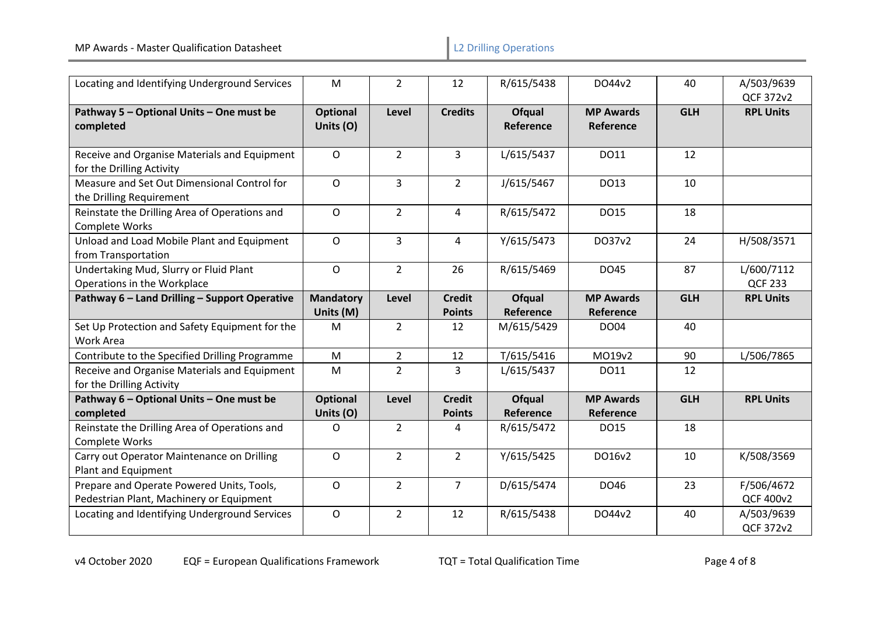| Locating and Identifying Underground Services                                         | M                             | $\overline{2}$ | 12                             | R/615/5438                 | DO44v2                               | 40         | A/503/9639<br>QCF 372v2        |
|---------------------------------------------------------------------------------------|-------------------------------|----------------|--------------------------------|----------------------------|--------------------------------------|------------|--------------------------------|
| Pathway 5 - Optional Units - One must be<br>completed                                 | <b>Optional</b><br>Units (O)  | Level          | <b>Credits</b>                 | Ofqual<br>Reference        | <b>MP Awards</b><br><b>Reference</b> | <b>GLH</b> | <b>RPL Units</b>               |
| Receive and Organise Materials and Equipment<br>for the Drilling Activity             | $\circ$                       | $\overline{2}$ | $\overline{3}$                 | L/615/5437                 | DO11                                 | 12         |                                |
| Measure and Set Out Dimensional Control for<br>the Drilling Requirement               | $\circ$                       | $\overline{3}$ | $\overline{2}$                 | J/615/5467                 | DO13                                 | 10         |                                |
| Reinstate the Drilling Area of Operations and<br>Complete Works                       | $\mathsf O$                   | $\overline{2}$ | 4                              | R/615/5472                 | DO15                                 | 18         |                                |
| Unload and Load Mobile Plant and Equipment<br>from Transportation                     | $\circ$                       | $\overline{3}$ | $\overline{4}$                 | Y/615/5473                 | DO37v2                               | 24         | H/508/3571                     |
| Undertaking Mud, Slurry or Fluid Plant<br>Operations in the Workplace                 | $\mathsf{O}$                  | $\overline{2}$ | 26                             | R/615/5469                 | DO45                                 | 87         | L/600/7112<br><b>QCF 233</b>   |
| Pathway 6 - Land Drilling - Support Operative                                         | <b>Mandatory</b><br>Units (M) | Level          | <b>Credit</b><br><b>Points</b> | <b>Ofqual</b><br>Reference | <b>MP Awards</b><br>Reference        | <b>GLH</b> | <b>RPL Units</b>               |
| Set Up Protection and Safety Equipment for the<br>Work Area                           | M                             | $\overline{2}$ | 12                             | M/615/5429                 | DO04                                 | 40         |                                |
| Contribute to the Specified Drilling Programme                                        | M                             | $\overline{2}$ | 12                             | T/615/5416                 | MO19v2                               | 90         | L/506/7865                     |
| Receive and Organise Materials and Equipment<br>for the Drilling Activity             | M                             | $\overline{2}$ | 3                              | L/615/5437                 | DO11                                 | 12         |                                |
| Pathway 6 - Optional Units - One must be<br>completed                                 | <b>Optional</b><br>Units (O)  | Level          | <b>Credit</b><br><b>Points</b> | Ofqual<br>Reference        | <b>MP Awards</b><br>Reference        | <b>GLH</b> | <b>RPL Units</b>               |
| Reinstate the Drilling Area of Operations and<br>Complete Works                       | O                             | $\overline{2}$ | 4                              | R/615/5472                 | DO15                                 | 18         |                                |
| Carry out Operator Maintenance on Drilling<br>Plant and Equipment                     | $\mathsf{O}$                  | $\overline{2}$ | $2^{\circ}$                    | Y/615/5425                 | DO16v2                               | 10         | K/508/3569                     |
| Prepare and Operate Powered Units, Tools,<br>Pedestrian Plant, Machinery or Equipment | $\mathsf{O}$                  | $\overline{2}$ | $\overline{7}$                 | D/615/5474                 | DO46                                 | 23         | F/506/4672<br><b>QCF 400v2</b> |
| Locating and Identifying Underground Services                                         | $\mathsf{O}$                  | 2 <sup>1</sup> | 12                             | R/615/5438                 | DO44v2                               | 40         | A/503/9639<br>QCF 372v2        |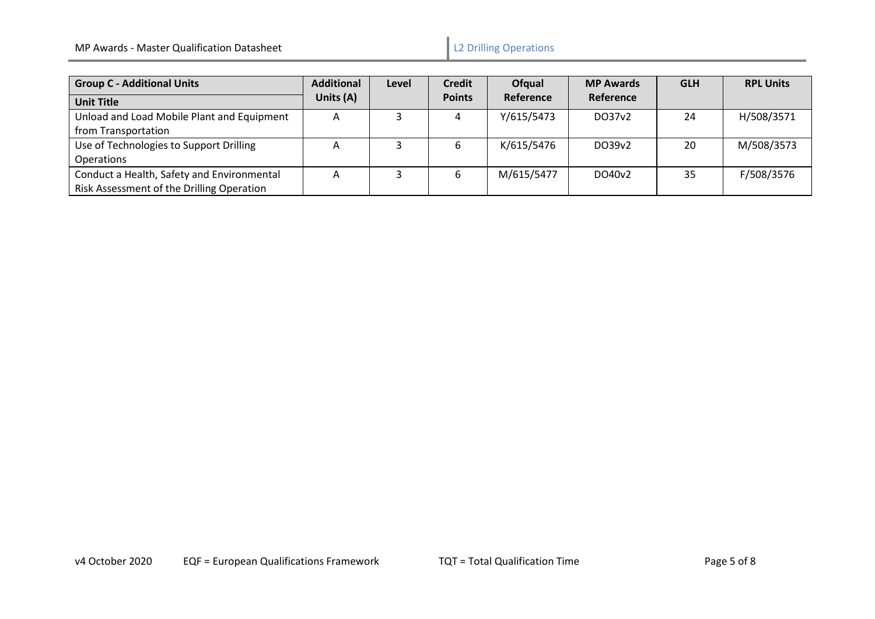| <b>Group C - Additional Units</b>          | <b>Additional</b> | Level | <b>Credit</b> | Ofqual     | <b>MP Awards</b>   | <b>GLH</b> | <b>RPL Units</b> |
|--------------------------------------------|-------------------|-------|---------------|------------|--------------------|------------|------------------|
| <b>Unit Title</b>                          | Units (A)         |       | <b>Points</b> | Reference  | Reference          |            |                  |
| Unload and Load Mobile Plant and Equipment | A                 |       | 4             | Y/615/5473 | DO37 <sub>v2</sub> | 24         | H/508/3571       |
| from Transportation                        |                   |       |               |            |                    |            |                  |
| Use of Technologies to Support Drilling    | A                 |       | b             | K/615/5476 | DO39v2             | 20         | M/508/3573       |
| Operations                                 |                   |       |               |            |                    |            |                  |
| Conduct a Health, Safety and Environmental | А                 |       |               | M/615/5477 | DO40 <sub>v2</sub> | 35         | F/508/3576       |
| Risk Assessment of the Drilling Operation  |                   |       |               |            |                    |            |                  |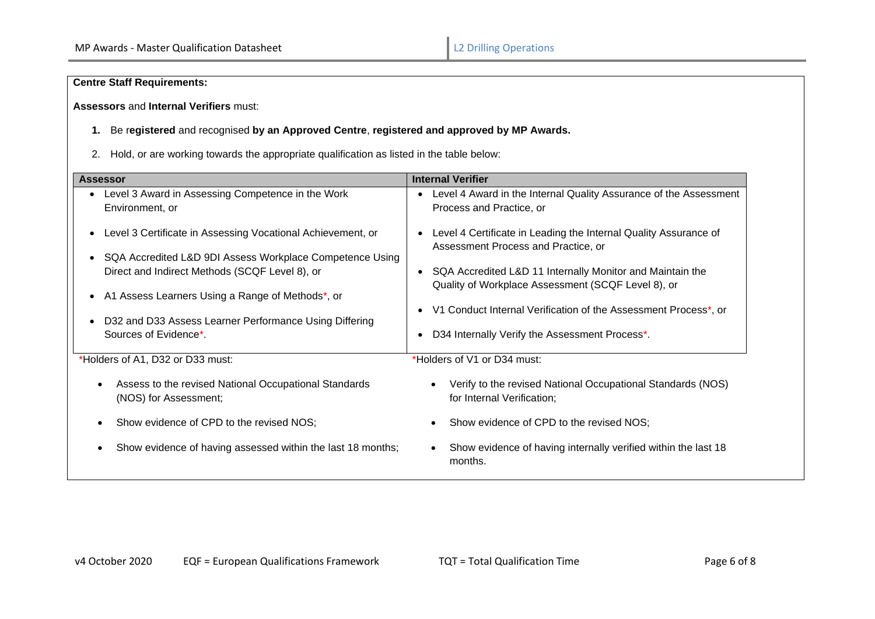# **Centre Staff Requirements:**

## **Assessors** and **Internal Verifiers** must:

## **1.** Be r**egistered** and recognised **by an Approved Centre**, **registered and approved by MP Awards.**

2. Hold, or are working towards the appropriate qualification as listed in the table below:

| <b>Assessor</b>                                                                                                                                                                                                                                                                                                                                                                          | <b>Internal Verifier</b>                                                                                                                                                                                                                                                                                                                                                                                                                           |
|------------------------------------------------------------------------------------------------------------------------------------------------------------------------------------------------------------------------------------------------------------------------------------------------------------------------------------------------------------------------------------------|----------------------------------------------------------------------------------------------------------------------------------------------------------------------------------------------------------------------------------------------------------------------------------------------------------------------------------------------------------------------------------------------------------------------------------------------------|
| Level 3 Award in Assessing Competence in the Work<br>Environment, or<br>Level 3 Certificate in Assessing Vocational Achievement, or<br>SQA Accredited L&D 9DI Assess Workplace Competence Using<br>Direct and Indirect Methods (SCQF Level 8), or<br>A1 Assess Learners Using a Range of Methods*, or<br>D32 and D33 Assess Learner Performance Using Differing<br>Sources of Evidence*. | Level 4 Award in the Internal Quality Assurance of the Assessment<br>Process and Practice, or<br>Level 4 Certificate in Leading the Internal Quality Assurance of<br>Assessment Process and Practice, or<br>• SQA Accredited L&D 11 Internally Monitor and Maintain the<br>Quality of Workplace Assessment (SCQF Level 8), or<br>V1 Conduct Internal Verification of the Assessment Process*, or<br>D34 Internally Verify the Assessment Process*. |
| *Holders of A1, D32 or D33 must:                                                                                                                                                                                                                                                                                                                                                         | *Holders of V1 or D34 must:                                                                                                                                                                                                                                                                                                                                                                                                                        |
| Assess to the revised National Occupational Standards<br>(NOS) for Assessment;                                                                                                                                                                                                                                                                                                           | Verify to the revised National Occupational Standards (NOS)<br>for Internal Verification;                                                                                                                                                                                                                                                                                                                                                          |
| Show evidence of CPD to the revised NOS;                                                                                                                                                                                                                                                                                                                                                 | Show evidence of CPD to the revised NOS;                                                                                                                                                                                                                                                                                                                                                                                                           |
| Show evidence of having assessed within the last 18 months;                                                                                                                                                                                                                                                                                                                              | Show evidence of having internally verified within the last 18<br>$\bullet$<br>months.                                                                                                                                                                                                                                                                                                                                                             |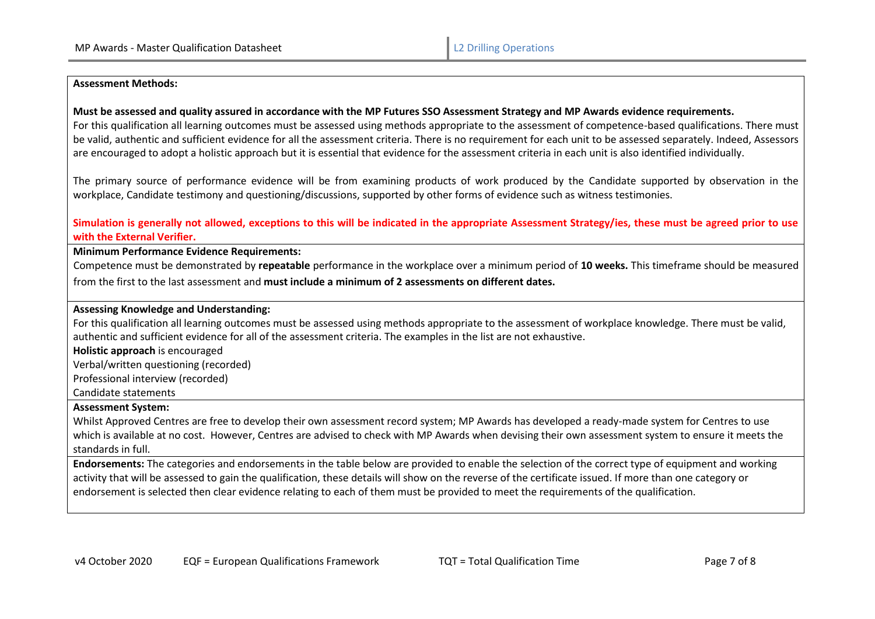#### **Assessment Methods:**

### **Must be assessed and quality assured in accordance with the MP Futures SSO Assessment Strategy and MP Awards evidence requirements.**

For this qualification all learning outcomes must be assessed using methods appropriate to the assessment of competence-based qualifications. There must be valid, authentic and sufficient evidence for all the assessment criteria. There is no requirement for each unit to be assessed separately. Indeed, Assessors are encouraged to adopt a holistic approach but it is essential that evidence for the assessment criteria in each unit is also identified individually.

The primary source of performance evidence will be from examining products of work produced by the Candidate supported by observation in the workplace, Candidate testimony and questioning/discussions, supported by other forms of evidence such as witness testimonies.

## **Simulation is generally not allowed, exceptions to this will be indicated in the appropriate Assessment Strategy/ies, these must be agreed prior to use with the External Verifier.**

### **Minimum Performance Evidence Requirements:**

Competence must be demonstrated by **repeatable** performance in the workplace over a minimum period of **10 weeks.** This timeframe should be measured from the first to the last assessment and **must include a minimum of 2 assessments on different dates.**

### **Assessing Knowledge and Understanding:**

For this qualification all learning outcomes must be assessed using methods appropriate to the assessment of workplace knowledge. There must be valid, authentic and sufficient evidence for all of the assessment criteria. The examples in the list are not exhaustive.

**Holistic approach** is encouraged

Verbal/written questioning (recorded)

Professional interview (recorded)

Candidate statements

### **Assessment System:**

Whilst Approved Centres are free to develop their own assessment record system; MP Awards has developed a ready-made system for Centres to use which is available at no cost. However, Centres are advised to check with MP Awards when devising their own assessment system to ensure it meets the standards in full.

**Endorsements:** The categories and endorsements in the table below are provided to enable the selection of the correct type of equipment and working activity that will be assessed to gain the qualification, these details will show on the reverse of the certificate issued. If more than one category or endorsement is selected then clear evidence relating to each of them must be provided to meet the requirements of the qualification.